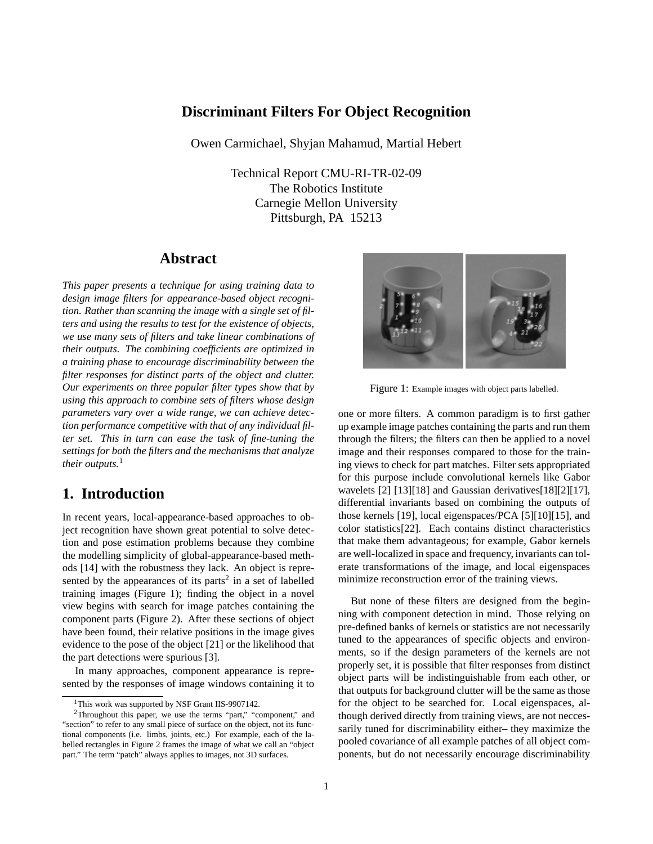### **Discriminant Filters For Object Recognition**

Owen Carmichael, Shyjan Mahamud, Martial Hebert

Technical Report CMU-RI-TR-02-09 The Robotics Institute Carnegie Mellon University Pittsburgh, PA 15213

## **Abstract**

*This paper presents a technique for using training data to design image filters for appearance-based object recognition. Rather than scanning the image with a single set of filters and using the results to test for the existence of objects, we use many sets of filters and take linear combinations of their outputs. The combining coefficients are optimized in a training phase to encourage discriminability between the filter responses for distinct parts of the object and clutter. Our experiments on three popular filter types show that by using this approach to combine sets of filters whose design parameters vary over a wide range, we can achieve detection performance competitive with that of any individual filter set. This in turn can ease the task of fine-tuning the settings for both the filters and the mechanisms that analyze their outputs.*<sup>1</sup>

## **1. Introduction**

In recent years, local-appearance-based approaches to object recognition have shown great potential to solve detection and pose estimation problems because they combine the modelling simplicity of global-appearance-based methods [14] with the robustness they lack. An object is represented by the appearances of its parts<sup>2</sup> in a set of labelled training images (Figure 1); finding the object in a novel view begins with search for image patches containing the component parts (Figure 2). After these sections of object have been found, their relative positions in the image gives evidence to the pose of the object [21] or the likelihood that the part detections were spurious [3].

In many approaches, component appearance is represented by the responses of image windows containing it to



Figure 1: Example images with object parts labelled.

one or more filters. A common paradigm is to first gather up example image patches containing the parts and run them through the filters; the filters can then be applied to a novel image and their responses compared to those for the training views to check for part matches. Filter sets appropriated for this purpose include convolutional kernels like Gabor wavelets [2] [13][18] and Gaussian derivatives[18][2][17], differential invariants based on combining the outputs of those kernels [19], local eigenspaces/PCA [5][10][15], and color statistics[22]. Each contains distinct characteristics that make them advantageous; for example, Gabor kernels are well-localized in space and frequency, invariants can tolerate transformations of the image, and local eigenspaces minimize reconstruction error of the training views.

But none of these filters are designed from the beginning with component detection in mind. Those relying on pre-defined banks of kernels or statistics are not necessarily tuned to the appearances of specific objects and environments, so if the design parameters of the kernels are not properly set, it is possible that filter responses from distinct object parts will be indistinguishable from each other, or that outputs for background clutter will be the same as those for the object to be searched for. Local eigenspaces, although derived directly from training views, are not neccessarily tuned for discriminability either– they maximize the pooled covariance of all example patches of all object components, but do not necessarily encourage discriminability

<sup>&</sup>lt;sup>1</sup>This work was supported by NSF Grant IIS-9907142.

<sup>2</sup>Throughout this paper, we use the terms "part," "component," and "section" to refer to any small piece of surface on the object, not its functional components (i.e. limbs, joints, etc.) For example, each of the labelled rectangles in Figure 2 frames the image of what we call an "object part." The term "patch" always applies to images, not 3D surfaces.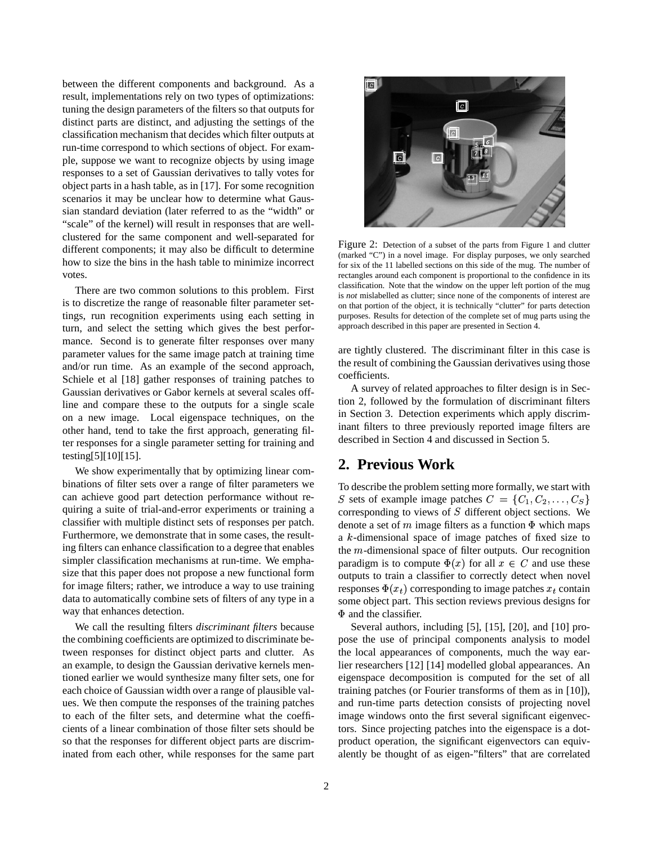between the different components and background. As a result, implementations rely on two types of optimizations: tuning the design parameters of the filters so that outputs for distinct parts are distinct, and adjusting the settings of the classification mechanism that decides which filter outputs at run-time correspond to which sections of object. For example, suppose we want to recognize objects by using image responses to a set of Gaussian derivatives to tally votes for object parts in a hash table, as in [17]. For some recognition scenarios it may be unclear how to determine what Gaussian standard deviation (later referred to as the "width" or "scale" of the kernel) will result in responses that are wellclustered for the same component and well-separated for different components; it may also be difficult to determine how to size the bins in the hash table to minimize incorrect votes.

There are two common solutions to this problem. First is to discretize the range of reasonable filter parameter settings, run recognition experiments using each setting in turn, and select the setting which gives the best performance. Second is to generate filter responses over many parameter values for the same image patch at training time and/or run time. As an example of the second approach, Schiele et al [18] gather responses of training patches to Gaussian derivatives or Gabor kernels at several scales offline and compare these to the outputs for a single scale on a new image. Local eigenspace techniques, on the other hand, tend to take the first approach, generating filter responses for a single parameter setting for training and testing[5][10][15].

We show experimentally that by optimizing linear combinations of filter sets over a range of filter parameters we can achieve good part detection performance without requiring a suite of trial-and-error experiments or training a classifier with multiple distinct sets of responses per patch. Furthermore, we demonstrate that in some cases, the resulting filters can enhance classification to a degree that enables simpler classification mechanisms at run-time. We emphasize that this paper does not propose a new functional form for image filters; rather, we introduce a way to use training data to automatically combine sets of filters of any type in a way that enhances detection.

We call the resulting filters *discriminant filters* because the combining coefficients are optimized to discriminate between responses for distinct object parts and clutter. As an example, to design the Gaussian derivative kernels mentioned earlier we would synthesize many filter sets, one for each choice of Gaussian width over a range of plausible values. We then compute the responses of the training patches to each of the filter sets, and determine what the coefficients of a linear combination of those filter sets should be so that the responses for different object parts are discriminated from each other, while responses for the same part



Figure 2: Detection of a subset of the parts from Figure 1 and clutter (marked "C") in a novel image. For display purposes, we only searched for six of the 11 labelled sections on this side of the mug. The number of rectangles around each component is proportional to the confidence in its classification. Note that the window on the upper left portion of the mug is *not* mislabelled as clutter; since none of the components of interest are on that portion of the object, it is technically "clutter" for parts detection purposes. Results for detection of the complete set of mug parts using the approach described in this paper are presented in Section 4.

are tightly clustered. The discriminant filter in this case is the result of combining the Gaussian derivatives using those coefficients.

A survey of related approaches to filter design is in Section 2, followed by the formulation of discriminant filters in Section 3. Detection experiments which apply discriminant filters to three previously reported image filters are described in Section 4 and discussed in Section 5.

## **2. Previous Work**

To describe the problem setting more formally, we start with S sets of example image patches  $C = \{C_1, C_2, \ldots, C_S\}$ corresponding to views of  $S$  different object sections. We denote a set of  $m$  image filters as a function  $\Phi$  which maps a  $k$ -dimensional space of image patches of fixed size to the  $m$ -dimensional space of filter outputs. Our recognition paradigm is to compute  $\Phi(x)$  for all  $x \in C$  and use these outputs to train a classifier to correctly detect when novel responses  $\Phi(x_t)$  corresponding to image patches  $x_t$  contain some object part. This section reviews previous designs for  $\Phi$  and the classifier.

Several authors, including [5], [15], [20], and [10] propose the use of principal components analysis to model the local appearances of components, much the way earlier researchers [12] [14] modelled global appearances. An eigenspace decomposition is computed for the set of all training patches (or Fourier transforms of them as in [10]), and run-time parts detection consists of projecting novel image windows onto the first several significant eigenvectors. Since projecting patches into the eigenspace is a dotproduct operation, the significant eigenvectors can equivalently be thought of as eigen-"filters" that are correlated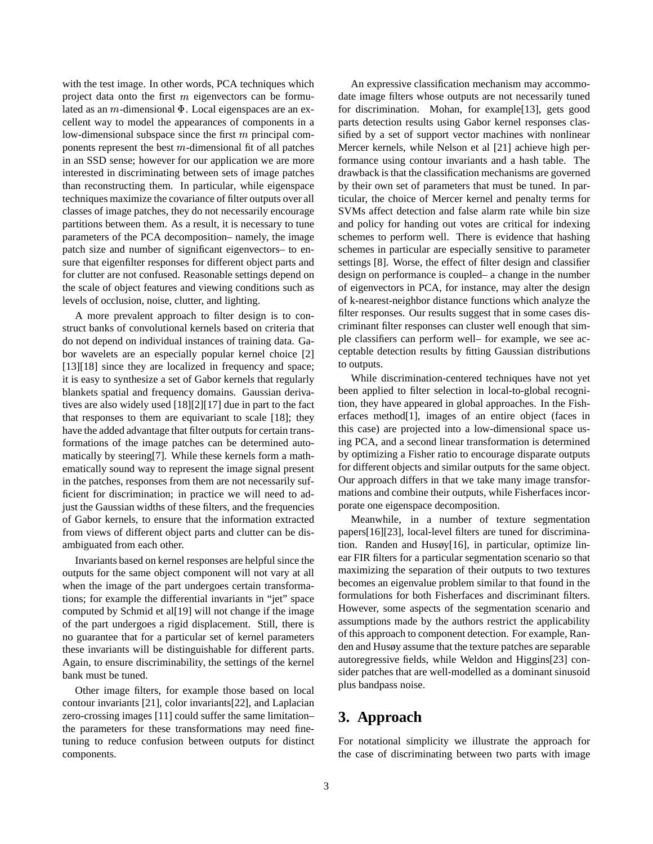with the test image. In other words, PCA techniques which project data onto the first  $m$  eigenvectors can be formulated as an  $m$ -dimensional  $\Phi$ . Local eigenspaces are an excellent way to model the appearances of components in a low-dimensional subspace since the first  $m$  principal components represent the best  $m$ -dimensional fit of all patches in an SSD sense; however for our application we are more interested in discriminating between sets of image patches than reconstructing them. In particular, while eigenspace techniques maximize the covariance of filter outputs over all classes of image patches, they do not necessarily encourage partitions between them. As a result, it is necessary to tune parameters of the PCA decomposition– namely, the image patch size and number of significant eigenvectors– to ensure that eigenfilter responses for different object parts and for clutter are not confused. Reasonable settings depend on the scale of object features and viewing conditions such as levels of occlusion, noise, clutter, and lighting.

A more prevalent approach to filter design is to construct banks of convolutional kernels based on criteria that do not depend on individual instances of training data. Gabor wavelets are an especially popular kernel choice [2] [13][18] since they are localized in frequency and space; it is easy to synthesize a set of Gabor kernels that regularly blankets spatial and frequency domains. Gaussian derivatives are also widely used [18][2][17] due in part to the fact that responses to them are equivariant to scale [18]; they have the added advantage that filter outputs for certain transformations of the image patches can be determined automatically by steering[7]. While these kernels form a mathematically sound way to represent the image signal present in the patches, responses from them are not necessarily sufficient for discrimination; in practice we will need to adjust the Gaussian widths of these filters, and the frequencies of Gabor kernels, to ensure that the information extracted from views of different object parts and clutter can be disambiguated from each other.

Invariants based on kernel responses are helpful since the outputs for the same object component will not vary at all when the image of the part undergoes certain transformations; for example the differential invariants in "jet" space computed by Schmid et al[19] will not change if the image of the part undergoes a rigid displacement. Still, there is no guarantee that for a particular set of kernel parameters these invariants will be distinguishable for different parts. Again, to ensure discriminability, the settings of the kernel bank must be tuned.

Other image filters, for example those based on local contour invariants [21], color invariants[22], and Laplacian zero-crossing images [11] could suffer the same limitation– the parameters for these transformations may need finetuning to reduce confusion between outputs for distinct components.

An expressive classification mechanism may accommodate image filters whose outputs are not necessarily tuned for discrimination. Mohan, for example[13], gets good parts detection results using Gabor kernel responses classified by a set of support vector machines with nonlinear Mercer kernels, while Nelson et al [21] achieve high performance using contour invariants and a hash table. The drawback isthat the classification mechanisms are governed by their own set of parameters that must be tuned. In particular, the choice of Mercer kernel and penalty terms for SVMs affect detection and false alarm rate while bin size and policy for handing out votes are critical for indexing schemes to perform well. There is evidence that hashing schemes in particular are especially sensitive to parameter settings [8]. Worse, the effect of filter design and classifier design on performance is coupled– a change in the number of eigenvectors in PCA, for instance, may alter the design of k-nearest-neighbor distance functions which analyze the filter responses. Our results suggest that in some cases discriminant filter responses can cluster well enough that simple classifiers can perform well– for example, we see acceptable detection results by fitting Gaussian distributions to outputs.

While discrimination-centered techniques have not yet been applied to filter selection in local-to-global recognition, they have appeared in global approaches. In the Fisherfaces method[1], images of an entire object (faces in this case) are projected into a low-dimensional space using PCA, and a second linear transformation is determined by optimizing a Fisher ratio to encourage disparate outputs for different objects and similar outputs for the same object. Our approach differs in that we take many image transformations and combine their outputs, while Fisherfaces incorporate one eigenspace decomposition.

Meanwhile, in a number of texture segmentation papers[16][23], local-level filters are tuned for discrimination. Randen and Husøy[16], in particular, optimize linear FIR filters for a particular segmentation scenario so that maximizing the separation of their outputs to two textures becomes an eigenvalue problem similar to that found in the formulations for both Fisherfaces and discriminant filters. However, some aspects of the segmentation scenario and assumptions made by the authors restrict the applicability of this approach to component detection. For example, Randen and Husøy assume that the texture patches are separable autoregressive fields, while Weldon and Higgins[23] consider patches that are well-modelled as a dominant sinusoid plus bandpass noise.

# **3. Approach**

For notational simplicity we illustrate the approach for the case of discriminating between two parts with image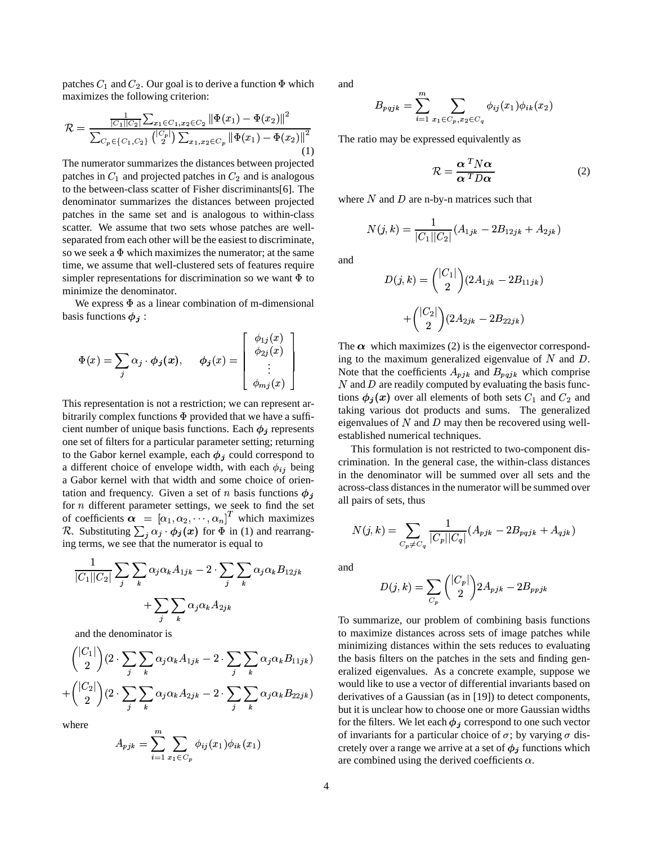patches  $C_1$  and  $C_2$ . Our goal is to derive a function  $\Phi$  which maximizes the following criterion:

$$
\mathcal{R} = \frac{\frac{1}{|C_1||C_2|} \sum_{x_1 \in C_1, x_2 \in C_2} ||\Phi(x_1) - \Phi(x_2)||^2}{\sum_{C_p \in \{C_1, C_2\}} {|\binom{C_p}{2}|} \sum_{x_1, x_2 \in C_p} ||\Phi(x_1) - \Phi(x_2)||^2}
$$
(1)

The numerator summarizes the distances between projected patches in  $C_1$  and projected patches in  $C_2$  and is analogous to the between-class scatter of Fisher discriminants[6]. The denominator summarizes the distances between projected patches in the same set and is analogous to within-class scatter. We assume that two sets whose patches are wellseparated from each other will be the easiest to discriminate, so we seek a  $\Phi$  which maximizes the numerator; at the same time, we assume that well-clustered sets of features require simpler representations for discrimination so we want  $\Phi$  to minimize the denominator.

We express  $\Phi$  as a linear combination of m-dimensional basis functions  $\phi_i$ :

NO

$$
\Phi(x) = \sum_{j} \alpha_j \cdot \phi_j(x), \quad \phi_j(x) = \begin{bmatrix} \phi_{1j}(x) \\ \phi_{2j}(x) \\ \vdots \\ \phi_{mj}(x) \end{bmatrix}
$$

This representation is not a restriction; we can represent arbitrarily complex functions  $\Phi$  provided that we have a sufficient number of unique basis functions. Each  $\phi_i$  represents one set of filters for a particular parameter setting; returning to the Gabor kernel example, each  $\phi_j$  could correspond to a different choice of envelope width, with each  $\phi_{ij}$  being a Gabor kernel with that width and some choice of orientation and frequency. Given a set of n basis functions  $\phi_i$ for  $n$  different parameter settings, we seek to find the set of coefficients  $\alpha = [\alpha_1, \alpha_2, \cdots, \alpha_n]$  $[\alpha_1, \alpha_2, \cdots, \alpha_n]^T$  which maximizes R. Substituting  $\sum_i \alpha_i \cdot \phi_i(x)$  for  $\Phi$  in (1) and rearranging terms, we see that the numerator is equal to

$$
\frac{1}{|C_1||C_2|} \sum_{j} \sum_{k} \alpha_j \alpha_k A_{1jk} - 2 \cdot \sum_{j} \sum_{k} \alpha_j \alpha_k B_{12jk} + \sum_{j} \sum_{k} \alpha_j \alpha_k A_{2jk}
$$

and the denominator is

and the contract of the contract of the contract of the contract of the contract of the contract of the contract of

$$
\binom{|C_1|}{2} (2 \cdot \sum_j \sum_k \alpha_j \alpha_k A_{1jk} - 2 \cdot \sum_j \sum_k \alpha_j \alpha_k B_{11jk}) \quad t
$$
  
+ 
$$
\binom{|C_2|}{2} (2 \cdot \sum_j \sum_k \alpha_j \alpha_k A_{2jk} - 2 \cdot \sum_j \sum_k \alpha_j \alpha_k B_{22jk}) \quad t
$$

where

$$
A_{pjk} = \sum_{i=1}^{m} \sum_{x_1 \in C_p} \phi_{ij}(x_1) \phi_{ik}(x_1)
$$

and

$$
B_{pqjk} = \sum_{i=1}^{m} \sum_{x_1 \in C_p, x_2 \in C_q} \phi_{ij}(x_1) \phi_{ik}(x_2)
$$

The ratio may be expressed equivalently as

$$
\mathcal{R} = \frac{\alpha^T N \alpha}{\alpha^T D \alpha} \tag{2}
$$

where  $N$  and  $D$  are n-by-n matrices such that

$$
N(j,k) = \frac{1}{|C_1||C_2|}(A_{1jk} - 2B_{12jk} + A_{2jk})
$$

and

$$
D(j,k) = \binom{|C_1|}{2} (2A_{1jk} - 2B_{11jk})
$$

$$
+ \binom{|C_2|}{2} (2A_{2jk} - 2B_{22jk})
$$

The  $\alpha$  which maximizes (2) is the eigenvector corresponding to the maximum generalized eigenvalue of  $N$  and  $D$ . Note that the coefficients  $A_{pjk}$  and  $B_{pqjk}$  which comprise  $N$  and  $D$  are readily computed by evaluating the basis functions  $\phi_i(x)$  over all elements of both sets  $C_1$  and  $C_2$  and taking various dot products and sums. The generalized eigenvalues of  $N$  and  $D$  may then be recovered using wellestablished numerical techniques.

This formulation is not restricted to two-component discrimination. In the general case, the within-class distances in the denominator will be summed over all sets and the across-class distances in the numerator will be summed over all pairs of sets, thus

$$
N(j,k)=\sum_{C_p\neq C_q}\frac{1}{|C_p||C_q|}(A_{pjk}-2B_{pqjk}+A_{qjk})
$$

and

$$
D(j,k)=\sum_{C_p} {|C_p| \choose 2} 2A_{pjk}-2B_{ppjk}
$$

e hould like to use a vector of differential invariants based on To summarize, our problem of combining basis functions to maximize distances across sets of image patches while minimizing distances within the sets reduces to evaluating the basis filters on the patches in the sets and finding generalized eigenvalues. As a concrete example, suppose we derivatives of a Gaussian (as in [19]) to detect components, but it is unclear how to choose one or more Gaussian widths for the filters. We let each  $\phi_i$  correspond to one such vector of invariants for a particular choice of  $\sigma$ ; by varying  $\sigma$  discretely over a range we arrive at a set of  $\phi_j$  functions which are combined using the derived coefficients  $\alpha$ .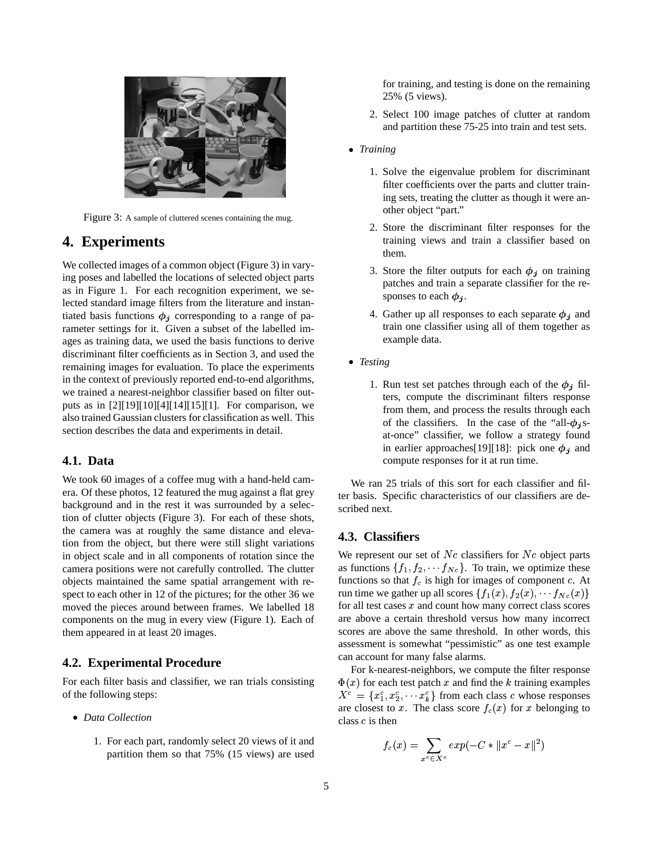

Figure 3: A sample of cluttered scenes containing the mug.

## **4. Experiments**

We collected images of a common object (Figure 3) in varying poses and labelled the locations of selected object parts as in Figure 1. For each recognition experiment, we selected standard image filters from the literature and instantiated basis functions  $\phi_j$  corresponding to a range of parameter settings for it. Given a subset of the labelled images as training data, we used the basis functions to derive discriminant filter coefficients as in Section 3, and used the remaining images for evaluation. To place the experiments in the context of previously reported end-to-end algorithms, we trained a nearest-neighbor classifier based on filter outputs as in [2][19][10][4][14][15][1]. For comparison, we also trained Gaussian clusters for classification as well. This section describes the data and experiments in detail.

### **4.1. Data**

We took 60 images of a coffee mug with a hand-held camera. Of these photos, 12 featured the mug against a flat grey background and in the rest it was surrounded by a selection of clutter objects (Figure 3). For each of these shots, the camera was at roughly the same distance and elevation from the object, but there were still slight variations in object scale and in all components of rotation since the camera positions were not carefully controlled. The clutter objects maintained the same spatial arrangement with respect to each other in 12 of the pictures; for the other 36 we moved the pieces around between frames. We labelled 18 components on the mug in every view (Figure 1). Each of them appeared in at least 20 images.

### **4.2. Experimental Procedure**

For each filter basis and classifier, we ran trials consisting of the following steps:

- *Data Collection*
	- 1. For each part, randomly select 20 views of it and partition them so that 75% (15 views) are used

for training, and testing is done on the remaining 25% (5 views).

- 2. Select 100 image patches of clutter at random and partition these 75-25 into train and test sets.
- *Training*
	- 1. Solve the eigenvalue problem for discriminant filter coefficients over the parts and clutter training sets, treating the clutter as though it were another object "part."
	- 2. Store the discriminant filter responses for the training views and train a classifier based on them.
	- 3. Store the filter outputs for each  $\phi_j$  on training patches and train a separate classifier for the responses to each  $\phi_i$ .
	- 4. Gather up all responses to each separate  $\phi_i$  and train one classifier using all of them together as example data.
- *Testing*
	- 1. Run test set patches through each of the  $\phi_j$  filters, compute the discriminant filters response from them, and process the results through each of the classifiers. In the case of the "all- $\phi_i$ sat-once" classifier, we follow a strategy found in earlier approaches [19] [18]: pick one  $\phi_j$  and compute responses for it at run time.

We ran 25 trials of this sort for each classifier and filter basis. Specific characteristics of our classifiers are described next.

### **4.3. Classifiers**

We represent our set of  $Nc$  classifiers for  $Nc$  object parts as functions  $\{f_1, f_2, \cdots, f_{N_c}\}$ . To train, we optimize these functions so that  $f_c$  is high for images of component c. At run time we gather up all scores  $\{f_1(x), f_2(x), \cdots, f_{N_c}(x)\}$ for all test cases  $x$  and count how many correct class scores are above a certain threshold versus how many incorrect scores are above the same threshold. In other words, this assessment is somewhat "pessimistic" as one test example can account for many false alarms.

For k-nearest-neighbors, we compute the filter response  $\Phi(x)$  for each test patch x and find the k training examples  $X^c = \{x_1^c, x_2^c, \cdots x_k^c\}$  from each class c whose responses are closest to x. The class score  $f_c(x)$  for x belonging to class  $c$  is then

$$
f_c(x) = \sum_{x^c \in X^c} exp(-C*||x^c - x||^2)
$$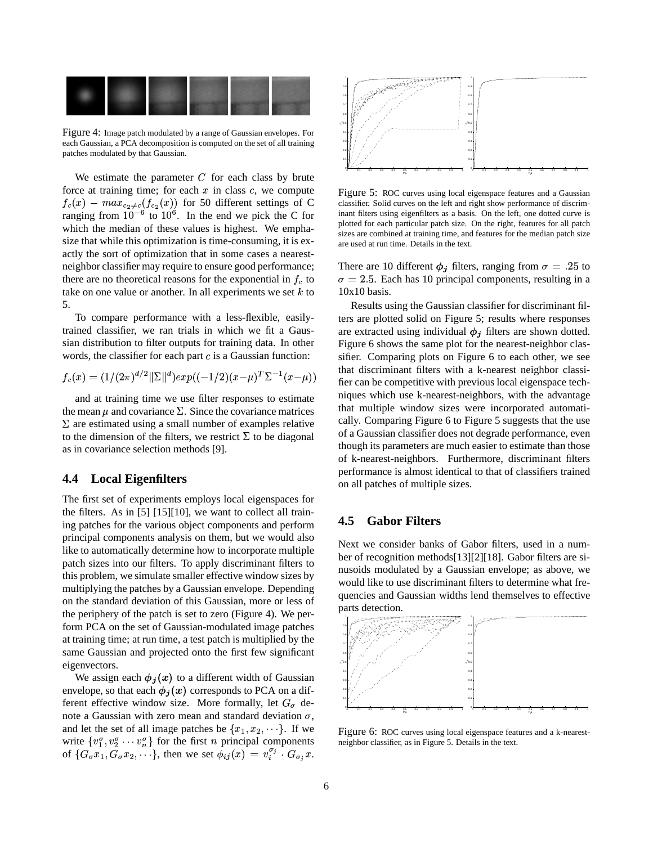

Figure 4: Image patch modulated by a range of Gaussian envelopes. For each Gaussian, a PCA decomposition is computed on the set of all training patches modulated by that Gaussian.

We estimate the parameter  $C$  for each class by brute force at training time; for each  $x$  in class  $c$ , we compute  $f_c(x) - max_{c_2 \neq c}(f_{c_2}(x))$  for 50 different settings of C ranging from  $10^{-6}$  to  $10^{6}$ . In the end we pick the C for which the median of these values is highest. We emphasize that while this optimization is time-consuming, it is exactly the sort of optimization that in some cases a nearestneighbor classifier may require to ensure good performance; there are no theoretical reasons for the exponential in  $f_c$  to take on one value or another. In all experiments we set  $k$  to 5.

To compare performance with a less-flexible, easilytrained classifier, we ran trials in which we fit a Gaussian distribution to filter outputs for training data. In other words, the classifier for each part  $c$  is a Gaussian function:

$$
f_c(x) = (1/(2\pi)^{d/2} ||\Sigma||^d) exp((-1/2)(x-\mu)^T \Sigma^{-1}(x-\mu))
$$

and at training time we use filter responses to estimate the mean  $\mu$  and covariance  $\Sigma$ . Since the covariance matrices  $\Sigma$  are estimated using a small number of examples relative to the dimension of the filters, we restrict  $\Sigma$  to be diagonal as in covariance selection methods [9].

#### **4.4 Local Eigenfilters**

The first set of experiments employs local eigenspaces for the filters. As in [5] [15][10], we want to collect all training patches for the various object components and perform principal components analysis on them, but we would also like to automatically determine how to incorporate multiple patch sizes into our filters. To apply discriminant filters to this problem, we simulate smaller effective window sizes by multiplying the patches by a Gaussian envelope. Depending on the standard deviation of this Gaussian, more or less of the periphery of the patch is set to zero (Figure 4). We perform PCA on the set of Gaussian-modulated image patches at training time; at run time, a test patch is multiplied by the same Gaussian and projected onto the first few significant eigenvectors.

We assign each  $\phi_i(x)$  to a different width of Gaussian envelope, so that each  $\phi_i(x)$  corresponds to PCA on a different effective window size. More formally, let  $G_{\sigma}$  denote a Gaussian with zero mean and standard deviation  $\sigma$ , and let the set of all image patches be  $\{x_1, x_2, \dots\}$ . If we write  $\{v_1^{\sigma}, v_2^{\sigma} \cdots v_n^{\sigma}\}$  for the first *n* principal components of  $\{G_{\sigma}x_1, \tilde{G}_{\sigma}x_2, \cdots\}$ , then we set  $\phi_{ij}(x) = v_i^{\sigma_j}$ .  $G_{\sigma}x$ .



Figure 5: ROC curves using local eigenspace features and a Gaussian classifier. Solid curves on the left and right show performance of discriminant filters using eigenfilters as a basis. On the left, one dotted curve is plotted for each particular patch size. On the right, features for all patch sizes are combined at training time, and features for the median patch size are used at run time. Details in the text.

There are 10 different  $\phi_j$  filters, ranging from  $\sigma = .25$  to  $\sigma = 2.5$ . Each has 10 principal components, resulting in a 10x10 basis.

Results using the Gaussian classifier for discriminant filters are plotted solid on Figure 5; results where responses are extracted using individual  $\phi_j$  filters are shown dotted. Figure 6 shows the same plot for the nearest-neighbor classifier. Comparing plots on Figure 6 to each other, we see that discriminant filters with a k-nearest neighbor classifier can be competitive with previous local eigenspace techniques which use k-nearest-neighbors, with the advantage that multiple window sizes were incorporated automatically. Comparing Figure 6 to Figure 5 suggests that the use of a Gaussian classifier does not degrade performance, even though its parameters are much easier to estimate than those of k-nearest-neighbors. Furthermore, discriminant filters performance is almost identical to that of classifiers trained on all patches of multiple sizes.

### **4.5 Gabor Filters**

Next we consider banks of Gabor filters, used in a number of recognition methods[13][2][18]. Gabor filters are sinusoids modulated by a Gaussian envelope; as above, we would like to use discriminant filters to determine what frequencies and Gaussian widths lend themselves to effective parts detection.



Figure 6: ROC curves using local eigenspace features and a k-nearestneighbor classifier, as in Figure 5. Details in the text.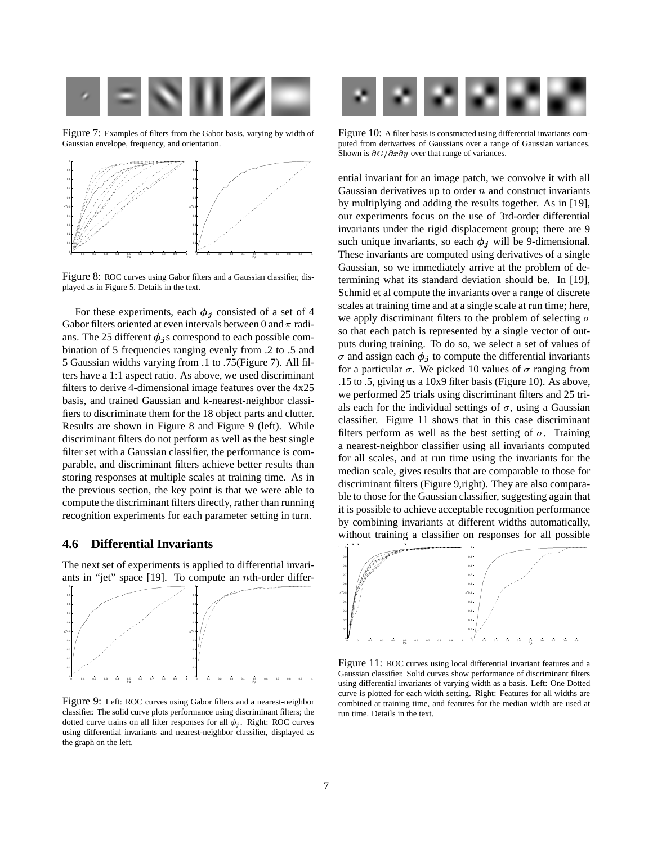

Figure 7: Examples of filters from the Gabor basis, varying by width of Gaussian envelope, frequency, and orientation.



Figure 8: ROC curves using Gabor filters and a Gaussian classifier, displayed as in Figure 5. Details in the text.

For these experiments, each  $\phi_i$  consisted of a set of 4 Gabor filters oriented at even intervals between 0 and  $\pi$  radians. The 25 different  $\phi_i$ s correspond to each possible combination of 5 frequencies ranging evenly from .2 to .5 and 5 Gaussian widths varying from .1 to .75(Figure 7). All filters have a 1:1 aspect ratio. As above, we used discriminant filters to derive 4-dimensional image features over the 4x25 basis, and trained Gaussian and k-nearest-neighbor classifiers to discriminate them for the 18 object parts and clutter. Results are shown in Figure 8 and Figure 9 (left). While discriminant filters do not perform as well as the best single filter set with a Gaussian classifier, the performance is comparable, and discriminant filters achieve better results than storing responses at multiple scales at training time. As in the previous section, the key point is that we were able to compute the discriminant filters directly, rather than running recognition experiments for each parameter setting in turn.

### **4.6 Differential Invariants**

The next set of experiments is applied to differential invariants in "jet" space  $[19]$ . To compute an *n*th-order differ-



Figure 9: Left: ROC curves using Gabor filters and a nearest-neighbor classifier. The solid curve plots performance using discriminant filters; the dotted curve trains on all filter responses for all  $\phi_i$ . Right: ROC curves using differential invariants and nearest-neighbor classifier, displayed as the graph on the left.



Figure 10: A filter basis is constructed using differential invariants computed from derivatives of Gaussians over a range of Gaussian variances. Shown is  $\partial G/\partial x \partial y$  over that range of variances.

ential invariant for an image patch, we convolve it with all Gaussian derivatives up to order  $n$  and construct invariants by multiplying and adding the results together. As in [19], our experiments focus on the use of 3rd-order differential invariants under the rigid displacement group; there are 9 such unique invariants, so each  $\phi_j$  will be 9-dimensional. These invariants are computed using derivatives of a single Gaussian, so we immediately arrive at the problem of determining what its standard deviation should be. In [19], Schmid et al compute the invariants over a range of discrete scales at training time and at a single scale at run time; here, we apply discriminant filters to the problem of selecting  $\sigma$ so that each patch is represented by a single vector of outputs during training. To do so, we select a set of values of  $\sigma$  and assign each  $\phi_i$  to compute the differential invariants for a particular  $\sigma$ . We picked 10 values of  $\sigma$  ranging from .15 to .5, giving us a 10x9 filter basis (Figure 10). As above, we performed 25 trials using discriminant filters and 25 trials each for the individual settings of  $\sigma$ , using a Gaussian classifier. Figure 11 shows that in this case discriminant filters perform as well as the best setting of  $\sigma$ . Training a nearest-neighbor classifier using all invariants computed for all scales, and at run time using the invariants for the median scale, gives results that are comparable to those for discriminant filters (Figure 9,right). They are also comparable to those for the Gaussian classifier, suggesting again that it is possible to achieve acceptable recognition performance by combining invariants at different widths automatically, without training a classifier on responses for all possible



Figure 11: ROC curves using local differential invariant features and a Gaussian classifier. Solid curves show performance of discriminant filters using differential invariants of varying width as a basis. Left: One Dotted curve is plotted for each width setting. Right: Features for all widths are combined at training time, and features for the median width are used at run time. Details in the text.